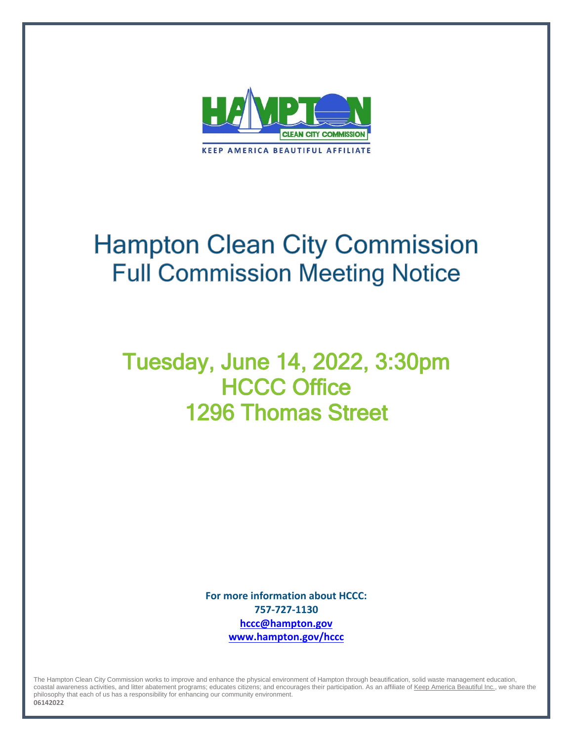

# **Hampton Clean City Commission Full Commission Meeting Notice**

## Tuesday, June 14, 2022, 3:30pm **HCCC Office** 1296 Thomas Street

**For more information about HCCC: 757-727-1130 [hccc@hampton.gov](mailto:hccc@hampton.gov) [www.hampton.gov/hccc](http://www.hampton.gov/hccc)**

The Hampton Clean City Commission works to improve and enhance the physical environment of Hampton through beautification, solid waste management education, coastal awareness activities, and litter abatement programs; educates citizens; and encourages their participation. As an affiliate o[f Keep America Beautiful Inc.,](http://www.kab.org/) we share the philosophy that each of us has a responsibility for enhancing our community environment.

**06142022**